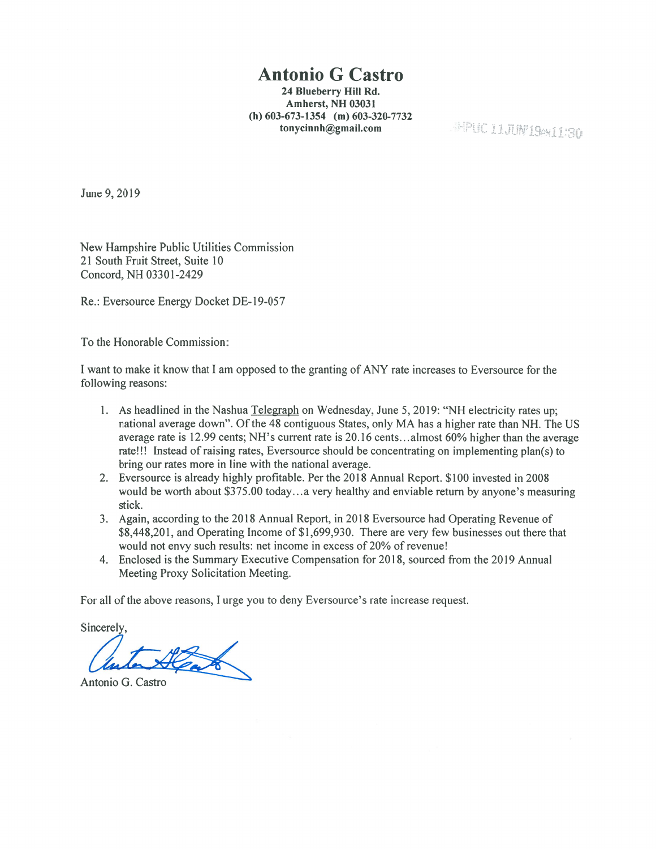## Antonio G Castro

24 Blueberry Hill Rd. Amherst, NH 03031 (h) 603-673-1354 (m) 603-320-7732 tonycinnhciijgmail corn - - ,

June 9, 2019

New Hampshire Public Utilities Commission 21 South fruit Street, Suite 10 Concord, NH 03301-2429

Re.: Eversource Energy Docket DE-19-057

To the Honorable Commission:

I want to make it know that I am opposed to the granting of ANY rate increases to Eversource for the following reasons:

- 1. As headlined in the Nashua Telegraph on Wednesday, June 5, 2019: "NH electricity rates up; national average down". Of the 48 contiguous States, only MA has a higher rate than NH. The US average rate is 12.99 cents; NH's current rate is 20.16 cents...almost 60% higher than the average rate!!! Instead of raising rates, Eversource should be concentrating on implementing plan(s) to bring our rates more in line with the national average.
- 2. Eversource is already highly profitable. Per the 2018 Annual Report. \$100 invested in 2008 would be worth about \$375.00 today. . . <sup>a</sup> very healthy and enviable return by anyone's measuring stick.
- 3. Again, according to the 2018 Annual Report, in 2018 Eversource had Operating Revenue of \$8,448,201, and Operating Income of\$1,699,930. There are very few businesses out there that would not envy such results: net income in excess of 20% of revenue!
- 4. Enclosed is the Summary Executive Compensation for 2018, sourced from the 2019 Annual Meeting Proxy Solicitation Meeting.

For all of the above reasons, I urge you to deny Eversource's rate increase request.

Sincerely,

Antonio G. Castro